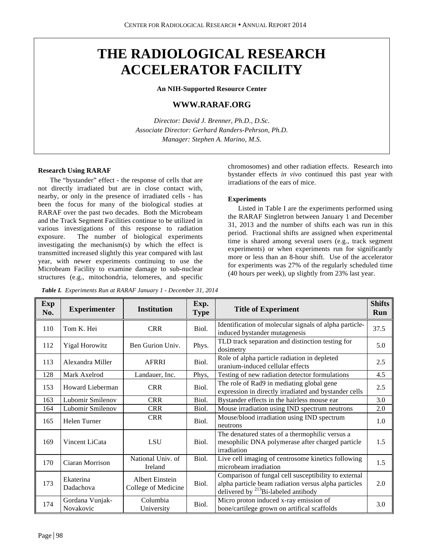# **THE RADIOLOGICAL RESEARCH ACCELERATOR FACILITY**

**An NIH-Supported Resource Center**

# **WWW.RARAF.ORG**

*Director: David J. Brenner, Ph.D., D.Sc. Associate Director: Gerhard Randers-Pehrson, Ph.D. Manager: Stephen A. Marino, M.S.*

# **Research Using RARAF**

The "bystander" effect - the response of cells that are not directly irradiated but are in close contact with, nearby, or only in the presence of irradiated cells - has been the focus for many of the biological studies at RARAF over the past two decades. Both the Microbeam and the Track Segment Facilities continue to be utilized in various investigations of this response to radiation exposure. The number of biological experiments investigating the mechanism(s) by which the effect is transmitted increased slightly this year compared with last year, with newer experiments continuing to use the Microbeam Facility to examine damage to sub-nuclear structures (e.g., mitochondria, telomeres, and specific

*Table I. Experiments Run at RARAF January 1 - December 31, 2014* 

chromosomes) and other radiation effects. Research into bystander effects *in vivo* continued this past year with irradiations of the ears of mice.

## **Experiments**

Listed in Table I are the experiments performed using the RARAF Singletron between January 1 and December 31, 2013 and the number of shifts each was run in this period. Fractional shifts are assigned when experimental time is shared among several users (e.g., track segment experiments) or when experiments run for significantly more or less than an 8-hour shift. Use of the accelerator for experiments was 27% of the regularly scheduled time (40 hours per week), up slightly from 23% last year.

**Shifts**

| Exp<br>No. | <b>Experimenter</b>          | <b>Institution</b>                     | Exp.<br><b>Type</b> | <b>Title of Experiment</b>                                                                                                                                | <b>Shifts</b><br>Run |
|------------|------------------------------|----------------------------------------|---------------------|-----------------------------------------------------------------------------------------------------------------------------------------------------------|----------------------|
| 110        | Tom K. Hei                   | <b>CRR</b>                             | Biol.               | Identification of molecular signals of alpha particle-<br>induced bystander mutagenesis                                                                   |                      |
| 112        | <b>Yigal Horowitz</b>        | Ben Gurion Univ.                       | Phys.               | TLD track separation and distinction testing for<br>dosimetry                                                                                             |                      |
| 113        | Alexandra Miller             | AFRRI                                  | Biol.               | Role of alpha particle radiation in depleted<br>uranium-induced cellular effects                                                                          |                      |
| 128        | Mark Axelrod                 | Landauer, Inc.                         | Phys,               | Testing of new radiation detector formulations                                                                                                            |                      |
| 153        | Howard Lieberman             | <b>CRR</b>                             | Biol.               | The role of Rad9 in mediating global gene<br>expression in directly irradiated and bystander cells                                                        |                      |
| 163        | Lubomir Smilenov             | <b>CRR</b>                             | Biol.               | Bystander effects in the hairless mouse ear                                                                                                               | 3.0                  |
| 164        | Lubomir Smilenov             | <b>CRR</b>                             | Biol.               | Mouse irradiation using IND spectrum neutrons                                                                                                             | 2.0                  |
| 165        | Helen Turner                 | <b>CRR</b>                             | Biol.               | Mouse/blood irradiation using IND spectrum<br>neutrons                                                                                                    | 1.0                  |
| 169        | Vincent LiCata               | LSU                                    | Biol.               | The denatured states of a thermophilic versus a<br>mesophilic DNA polymerase after charged particle<br>irradiation                                        | 1.5                  |
| 170        | Ciaran Morrison              | National Univ. of<br>Ireland           | Biol.               | Live cell imaging of centrosome kinetics following<br>microbeam irradiation                                                                               |                      |
| 173        | Ekaterina<br>Dadachova       | Albert Einstein<br>College of Medicine | Biol.               | Comparison of fungal cell susceptibility to external<br>alpha particle beam radiation versus alpha particles<br>delivered by $^{213}$ Bi-labeled antibody |                      |
| 174        | Gordana Vunjak-<br>Novakovic | Columbia<br>University                 | Biol.               | Micro proton induced x-ray emission of<br>bone/cartilege grown on artifical scaffolds                                                                     | 3.0                  |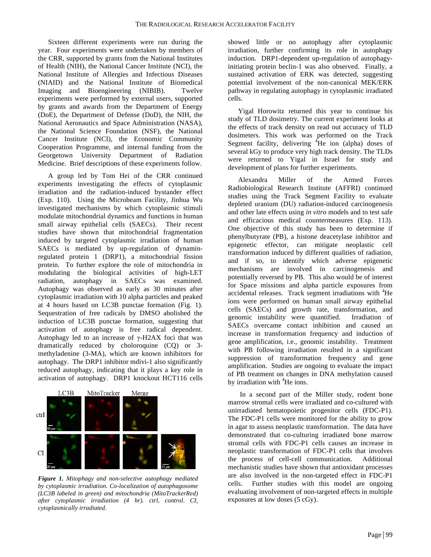Sixteen different experiments were run during the year. Four experiments were undertaken by members of the CRR, supported by grants from the National Institutes of Health (NIH), the National Cancer Institute (NCI), the National Institute of Allergies and Infectious Diseases (NIAID) and the National Institute of Biomedical Imaging and Bioengineering (NIBIB). Twelve experiments were performed by external users, supported by grants and awards from the Department of Energy (DoE), the Department of Defense (DoD), the NIH, the National Aeronautics and Space Administration (NASA), the National Science Foundation (NSF), the National Cancer Institute (NCI), the Economic Community Cooperation Programme, and internal funding from the Georgetown University Department of Radiation Medicine. Brief descriptions of these experiments follow.

A group led by Tom Hei of the CRR continued experiments investigating the effects of cytoplasmic irradiation and the radiation-induced bystander effect (Exp. 110). Using the Microbeam Facility, Jinhua Wu investigated mechanisms by which cytoplasmic stimuli modulate mitochondrial dynamics and functions in human small airway epithelial cells (SAECs). Their recent studies have shown that mitochondrial fragmentation induced by targeted cytoplasmic irradiation of human SAECs is mediated by up-regulation of dynaminregulated protein 1 (DRP1), a mitochondrial fission protein. To further explore the role of mitochondria in modulating the biological activities of high-LET radiation, autophagy in SAECs was examined. Autophagy was observed as early as 30 minutes after cytoplasmic irradiation with 10 alpha particles and peaked at 4 hours based on LC3B punctae formation (Fig. 1). Sequestration of free radicals by DMSO abolished the induction of LC3B punctae formation, suggesting that activation of autophagy is free radical dependent. Autophagy led to an increase of  $\gamma$ -H2AX foci that was dramatically reduced by choloroquine (CQ) or 3 methyladenine (3-MA), which are known inhibitors for autophagy. The DRP1 inhibitor mdivi-1 also significantly reduced autophagy, indicating that it plays a key role in activation of autophagy. DRP1 knockout HCT116 cells



*Figure 1. Mitophagy and non-selective autophagy mediated by cytoplasmic irradiation. Co-localization of autophagosome (LC3B labeled in green) and mitochondria (MitoTrackerRed) after cytoplasmic irradiation (4 hr). ctrl, control. CI, cytoplasmically irradiated.*

showed little or no autophagy after cytoplasmic irradiation, further confirming its role in autophagy induction. DRP1-dependent up-regulation of autophagyinitiating protein beclin-1 was also observed. Finally, a sustained activation of ERK was detected, suggesting potential involvement of the non-canonical MEK/ERK pathway in regulating autophagy in cytoplasmic irradiated cells.

Yigal Horowitz returned this year to continue his study of TLD dosimetry. The current experiment looks at the effects of track density on read out accuracy of TLD dosimeters. This work was performed on the Track Segment facility, delivering  ${}^{4}$ He ion (alpha) doses of several kGy to produce very high track density. The TLDs were returned to Yigal in Israel for study and development of plans for further experiments.

Alexandra Miller of the Armed Forces Radiobiological Research Institute (AFFRI) continued studies using the Track Segment Facility to evaluate depleted uranium (DU) radiation-induced carcinogenesis and other late effects using *in vitro* models and to test safe and efficacious medical countermeasures (Exp. 113). One objective of this study has been to determine if phenylbutyrate (PB), a histone deacetylase inhibitor and epigenetic effector, can mitigate neoplastic cell transformation induced by different qualities of radiation, and if so, to identify which adverse epigenetic mechanisms are involved in carcinogenesis and potentially reversed by PB. This also would be of interest for Space missions and alpha particle exposures from accidental releases. Track segment irradiations with <sup>4</sup>He ions were performed on human small airway epithelial cells (SAECs) and growth rate, transformation, and genomic instability were quantified. Irradiation of SAECs overcame contact inhibition and caused an increase in transformation frequency and induction of gene amplification, i.e., genomic instability. Treatment with PB following irradiation resulted in a significant suppression of transformation frequency and gene amplification. Studies are ongoing to evaluate the impact of PB treatment on changes in DNA methylation caused by irradiation with <sup>4</sup>He ions.

In a second part of the Miller study, rodent bone marrow stromal cells were irradiated and co-cultured with unirradiated hematopoietic progenitor cells (FDC-P1). The FDC-P1 cells were monitored for the ability to grow in agar to assess neoplastic transformation. The data have demonstrated that co-culturing irradiated bone marrow stromal cells with FDC-P1 cells causes an increase in neoplastic transformation of FDC-P1 cells that involves the process of cell-cell communication. Additional mechanistic studies have shown that antioxidant processes are also involved in the non-targeted effect in FDC-P1 cells. Further studies with this model are ongoing evaluating involvement of non-targeted effects in multiple exposures at low doses (5 cGy).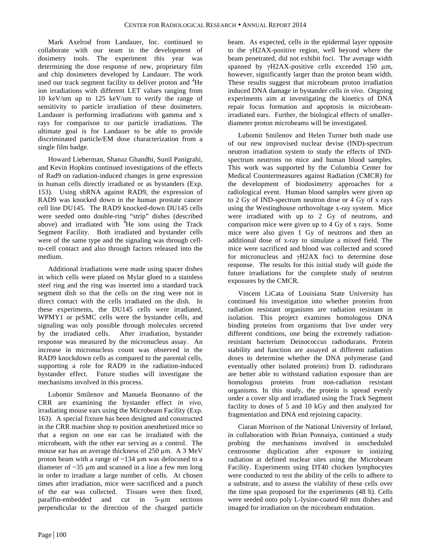Mark Axelrod from Landauer, Inc. continued to collaborate with our team in the development of dosimetry tools. The experiment this year was determining the dose response of new, proprietary film and chip dosimeters developed by Landauer. The work used our track segment facility to deliver proton and <sup>4</sup>He ion irradiations with different LET values ranging from 10 keV/um up to 125 keV/um to verify the range of sensitivity to particle irradiation of these dosimeters. Landauer is performing irradiations with gamma and x rays for comparison to our particle irradiations. The ultimate goal is for Landauer to be able to provide discriminated particle/EM dose characterization from a single film badge.

Howard Lieberman, Shanaz Ghandhi, Sunil Panigrahi, and Kevin Hopkins continued investigations of the effects of Rad9 on radiation-induced changes in gene expression in human cells directly irradiated or as bystanders (Exp. 153). Using shRNA against RAD9, the expression of RAD9 was knocked down in the human prostate cancer cell line DU145. The RAD9 knocked-down DU145 cells were seeded onto double-ring "strip" dishes (described above) and irradiated with  $4H$  ions using the Track Segment Facility. Both irradiated and bystander cells were of the same type and the signaling was through cellto-cell contact and also through factors released into the medium.

Additional irradiations were made using spacer dishes in which cells were plated on Mylar glued to a stainless steel ring and the ring was inserted into a standard track segment dish so that the cells on the ring were not in direct contact with the cells irradiated on the dish. In these experiments, the DU145 cells were irradiated, WPMY1 or prSMC cells were the bystander cells, and signaling was only possible through molecules secreted by the irradiated cells. After irradiation, bystander response was measured by the micronucleus assay. An increase in micronucleus count was observed in the RAD9 knockdown cells as compared to the parental cells, supporting a role for RAD9 in the radiation-induced bystander effect. Future studies will investigate the mechanisms involved in this process.

Lubomir Smilenov and Manuela Buonanno of the CRR are examining the bystander effect *in vivo*, irradiating mouse ears using the Microbeam Facility (Exp. 163). A special fixture has been designed and constructed in the CRR machine shop to position anesthetized mice so that a region on one ear can be irradiated with the microbeam, with the other ear serving as a control. The mouse ear has an average thickness of 250  $\mu$ m. A 3 MeV proton beam with a range of ~134 µm was defocused to a diameter of ~35 µm and scanned in a line a few mm long in order to irradiate a large number of cells. At chosen times after irradiation, mice were sacrificed and a punch of the ear was collected. Tissues were then fixed, paraffin-embedded and cut in 5-µm sections perpendicular to the direction of the charged particle

beam. As expected, cells in the epidermal layer opposite to the γH2AX-positive region, well beyond where the beam penetrated, did not exhibit foci. The average width spanned by γH2AX-positive cells exceeded 150 µm, however, significantly larger than the proton beam width. These results suggest that microbeam proton irradiation induced DNA damage in bystander cells *in vivo*. Ongoing experiments aim at investigating the kinetics of DNA repair focus formation and apoptosis in microbeamirradiated ears. Further, the biological effects of smallerdiameter proton microbeams will be investigated.

Lubomir Smilenov and Helen Turner both made use of our new improvised nuclear devise (IND)-spectrum neutron irradiation system to study the effects of INDspectrum neutrons on mice and human blood samples. This work was supported by the Columbia Center for Medical Countermeasures against Radiation (CMCR) for the development of biodosimetry approaches for a radiological event. Human blood samples were given up to 2 Gy of IND-spectrum neutron dose or 4 Gy of x rays using the Westinghouse orthovoltage x-ray system. Mice were irradiated with up to 2 Gy of neutrons, and comparison mice were given up to 4 Gy of x rays. Some mice were also given 1 Gy of neutrons and then an additional dose of x-ray to simulate a mixed field. The mice were sacrificed and blood was collected and scored for micronucleus and γH2AX foci to determine dose response. The results for this initial study will guide the future irradiations for the complete study of neutron exposures by the CMCR.

Vincent LiCata of Louisiana State University has continued his investigation into whether proteins from radiation resistant organisms are radiation resistant in isolation. This project examines homologous DNA binding proteins from organisms that live under very different conditions, one being the extremely radiationresistant bacterium Deinococcus radiodurans. Protein stability and function are assayed at different radiation doses to determine whether the DNA polymerase (and eventually other isolated proteins) from D. radiodurans are better able to withstand radiation exposure than are homologous proteins from non-radiation resistant organisms. In this study, the protein is spread evenly under a cover slip and irradiated using the Track Segment facility to doses of 5 and 10 kGy and then analyzed for fragmentation and DNA end rejoining capacity.

Ciaran Morrison of the National University of Ireland, in collaboration with Brian Ponnaiya, continued a study probing the mechanisms involved in unscheduled centrosome duplication after exposure to ionizing radiation at defined nuclear sites using the Microbeam Facility. Experiments using DT40 chicken lymphocytes were conducted to test the ability of the cells to adhere to a substrate, and to assess the viability of these cells over the time span proposed for the experiments (48 h). Cells were seeded onto poly L-lysine-coated 60 mm dishes and imaged for irradiation on the microbeam endstation.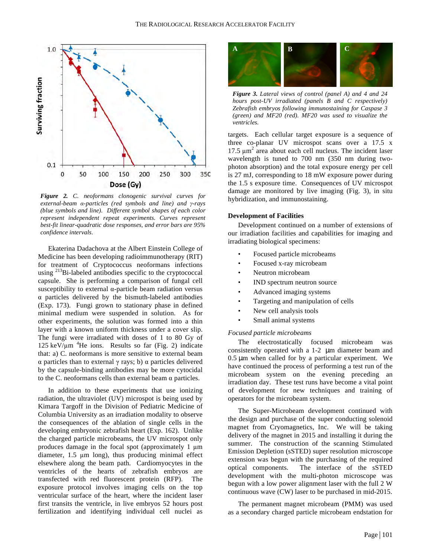

*Figure 2. C. neoformans clonogenic survival curves for external-beam α-particles (red symbols and line) and γ-rays (blue symbols and line). Different symbol shapes of each color represent independent repeat experiments. Curves represent best-fit linear-quadratic dose responses, and error bars are 95% confidence intervals.*

Ekaterina Dadachova at the Albert Einstein College of Medicine has been developing radioimmunotherapy (RIT) for treatment of Cryptococcus neoformans infections using <sup>213</sup>Bi-labeled antibodies specific to the cryptococcal capsule. She is performing a comparison of fungal cell susceptibility to external α-particle beam radiation versus α particles delivered by the bismuth-labeled antibodies (Exp. 173). Fungi grown to stationary phase in defined minimal medium were suspended in solution. As for other experiments, the solution was formed into a thin layer with a known uniform thickness under a cover slip. The fungi were irradiated with doses of 1 to 80 Gy of 125 keV/ $\mu$ m<sup>4</sup>He ions. Results so far (Fig. 2) indicate that: a) C. neoformans is more sensitive to external beam α particles than to external γ rays; b) α particles delivered by the capsule-binding antibodies may be more cytocidal to the C. neoformans cells than external beam α particles.

In addition to these experiments that use ionizing radiation, the ultraviolet (UV) microspot is being used by Kimara Targoff in the Division of Pediatric Medicine of Columbia University as an irradiation modality to observe the consequences of the ablation of single cells in the developing embryonic zebrafish heart (Exp. 162). Unlike the charged particle microbeams, the UV microspot only produces damage in the focal spot (approximately  $1 \mu m$ ) diameter, 1.5 µm long), thus producing minimal effect elsewhere along the beam path. Cardiomyocytes in the ventricles of the hearts of zebrafish embryos are transfected with red fluorescent protein (RFP). The exposure protocol involves imaging cells on the top ventricular surface of the heart, where the incident laser first transits the ventricle, in live embryos 52 hours post fertilization and identifying individual cell nuclei as



*Figure 3. Lateral views of control (panel A) and 4 and 24 hours post-UV irradiated (panels B and C respectively) Zebrafish embryos following immunostaining for Caspase 3 (green) and MF20 (red). MF20 was used to visualize the ventricles.*

targets. Each cellular target exposure is a sequence of three co-planar UV microspot scans over a 17.5 x 17.5  $\mu$ m<sup>2</sup> area about each cell nucleus. The incident laser wavelength is tuned to 700 nm (350 nm during twophoton absorption) and the total exposure energy per cell is 27 mJ, corresponding to 18 mW exposure power during the 1.5 s exposure time. Consequences of UV microspot damage are monitored by live imaging (Fig. 3), in situ hybridization, and immunostaining.

#### **Development of Facilities**

Development continued on a number of extensions of our irradiation facilities and capabilities for imaging and irradiating biological specimens:

- Focused particle microbeams
- Focused x-ray microbeam
- Neutron microbeam
- IND spectrum neutron source
- Advanced imaging systems
- Targeting and manipulation of cells
- New cell analysis tools
- Small animal systems

#### *Focused particle microbeams*

The electrostatically focused microbeam was consistently operated with a 1-2 µm diameter beam and 0.5 µm when called for by a particular experiment. We have continued the process of performing a test run of the microbeam system on the evening preceding an irradiation day. These test runs have become a vital point of development for new techniques and training of operators for the microbeam system.

The Super-Microbeam development continued with the design and purchase of the super conducting solenoid magnet from Cryomagnetics, Inc. We will be taking delivery of the magnet in 2015 and installing it during the summer. The construction of the scanning Stimulated Emission Depletion (sSTED) super resolution microscope extension was begun with the purchasing of the required optical components. The interface of the sSTED development with the multi-photon microscope was begun with a low power alignment laser with the full 2 W continuous wave (CW) laser to be purchased in mid-2015.

The permanent magnet microbeam (PMM) was used as a secondary charged particle microbeam endstation for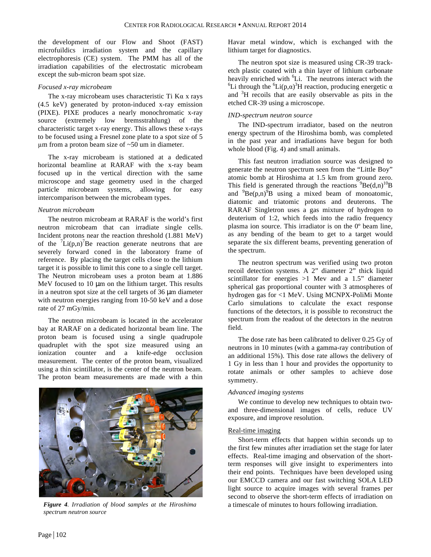the development of our Flow and Shoot (FAST) microfuildics irradiation system and the capillary electrophoresis (CE) system. The PMM has all of the irradiation capabilities of the electrostatic microbeam except the sub-micron beam spot size.

# *Focused x-ray microbeam*

The x-ray microbeam uses characteristic Ti Kα x rays (4.5 keV) generated by proton-induced x-ray emission (PIXE). PIXE produces a nearly monochromatic x-ray source (extremely low bremsstrahlung) of the characteristic target x-ray energy. This allows these x-rays to be focused using a Fresnel zone plate to a spot size of 5 µm from a proton beam size of ~50 um in diameter.

The x-ray microbeam is stationed at a dedicated horizontal beamline at RARAF with the x-ray beam focused up in the vertical direction with the same microscope and stage geometry used in the charged particle microbeam systems, allowing for easy intercomparison between the microbeam types.

## *Neutron microbeam*

The neutron microbeam at RARAF is the world's first neutron microbeam that can irradiate single cells. Incident protons near the reaction threshold (1.881 MeV) of the  ${}^{7}Li(p,n){}^{7}Be$  reaction generate neutrons that are severely forward coned in the laboratory frame of reference. By placing the target cells close to the lithium target it is possible to limit this cone to a single cell target. The Neutron microbeam uses a proton beam at 1.886 MeV focused to  $10 \mu m$  on the lithium target. This results in a neutron spot size at the cell targets of 36 µm diameter with neutron energies ranging from 10-50 keV and a dose rate of 27 mGy/min.

The neutron microbeam is located in the accelerator bay at RARAF on a dedicated horizontal beam line. The proton beam is focused using a single quadrupole quadruplet with the spot size measured using an ionization counter and a knife-edge occlusion measurement. The center of the proton beam, visualized using a thin scintillator, is the center of the neutron beam. The proton beam measurements are made with a thin



*spectrum neutron source*

Havar metal window, which is exchanged with the lithium target for diagnostics.

The neutron spot size is measured using CR-39 tracketch plastic coated with a thin layer of lithium carbonate heavily enriched with  ${}^{6}$ Li. The neutrons interact with the  ${}^{6}$ Li through the  ${}^{6}$ Li  $(2.8)^{3}$ Li reastion producing energetic g Li through the <sup>6</sup>Li(p, $\alpha$ )<sup>3</sup>H reaction, producing energetic  $\alpha$ and <sup>3</sup> H recoils that are easily observable as pits in the etched CR-39 using a microscope.

# *IND-spectrum neutron source*

The IND-spectrum irradiator, based on the neutron energy spectrum of the Hiroshima bomb, was completed in the past year and irradiations have begun for both whole blood (Fig. 4) and small animals.

This fast neutron irradiation source was designed to generate the neutron spectrum seen from the "Little Boy" atomic bomb at Hiroshima at 1.5 km from ground zero. This field is generated through the reactions  ${}^{9}Be(d,n)$ <sup>10</sup>B and  ${}^{9}Be(p,n){}^{\overline{9}}B$  using a mixed beam of monoatomic, diatomic and triatomic protons and deuterons. The RARAF Singletron uses a gas mixture of hydrogen to deuterium of 1:2, which feeds into the radio frequency plasma ion source. This irradiator is on the 0º beam line, as any bending of the beam to get to a target would separate the six different beams, preventing generation of the spectrum.

The neutron spectrum was verified using two proton recoil detection systems. A 2" diameter 2" thick liquid scintillator for energies  $>1$  Mev and a 1.5" diameter spherical gas proportional counter with 3 atmospheres of hydrogen gas for <1 MeV. Using MCNPX-PoliMi Monte Carlo simulations to calculate the exact response functions of the detectors, it is possible to reconstruct the spectrum from the readout of the detectors in the neutron field.

The dose rate has been calibrated to deliver 0.25 Gy of neutrons in 10 minutes (with a gamma-ray contribution of an additional 15%). This dose rate allows the delivery of 1 Gy in less than 1 hour and provides the opportunity to rotate animals or other samples to achieve dose symmetry.

# *Advanced imaging systems*

We continue to develop new techniques to obtain twoand three-dimensional images of cells, reduce UV exposure, and improve resolution.

#### Real-time imaging

Short-term effects that happen within seconds up to the first few minutes after irradiation set the stage for later effects. Real-time imaging and observation of the shortterm responses will give insight to experimenters into their end points. Techniques have been developed using our EMCCD camera and our fast switching SOLA LED light source to acquire images with several frames per second to observe the short-term effects of irradiation on *Figure 4. Irradiation of blood samples at the Hiroshima* a timescale of minutes to hours following irradiation.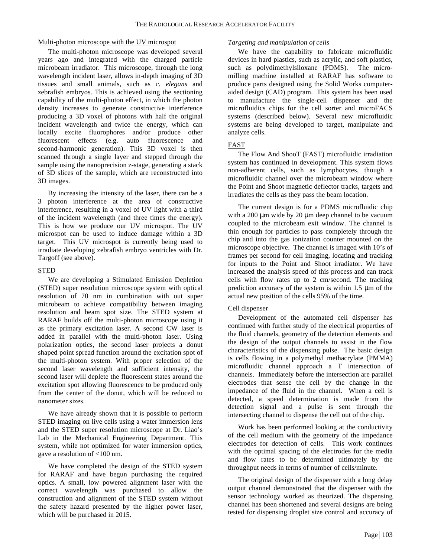# Multi-photon microscope with the UV microspot

The multi-photon microscope was developed several years ago and integrated with the charged particle microbeam irradiator. This microscope, through the long wavelength incident laser, allows in-depth imaging of 3D tissues and small animals, such as *c. elegans* and zebrafish embryos. This is achieved using the sectioning capability of the multi-photon effect, in which the photon density increases to generate constructive interference producing a 3D voxel of photons with half the original incident wavelength and twice the energy, which can locally excite fluorophores and/or produce other fluorescent effects (e.g. auto fluorescence and second-harmonic generation). This 3D voxel is then scanned through a single layer and stepped through the sample using the nanoprecision z-stage, generating a stack of 3D slices of the sample, which are reconstructed into 3D images.

By increasing the intensity of the laser, there can be a 3 photon interference at the area of constructive interference, resulting in a voxel of UV light with a third of the incident wavelength (and three times the energy). This is how we produce our UV microspot. The UV microspot can be used to induce damage within a 3D target. This UV microspot is currently being used to irradiate developing zebrafish embryo ventricles with Dr. Targoff (see above).

# **STED**

We are developing a Stimulated Emission Depletion (STED) super resolution microscope system with optical resolution of 70 nm in combination with out super microbeam to achieve compatibility between imaging resolution and beam spot size. The STED system at RARAF builds off the multi-photon microscope using it as the primary excitation laser. A second CW laser is added in parallel with the multi-photon laser. Using polarization optics, the second laser projects a donut shaped point spread function around the excitation spot of the multi-photon system. With proper selection of the second laser wavelength and sufficient intensity, the second laser will deplete the fluorescent states around the excitation spot allowing fluorescence to be produced only from the center of the donut, which will be reduced to nanometer sizes.

We have already shown that it is possible to perform STED imaging on live cells using a water immersion lens and the STED super resolution microscope at Dr. Liao's Lab in the Mechanical Engineering Department. This system, while not optimized for water immersion optics, gave a resolution of <100 nm.

We have completed the design of the STED system for RARAF and have begun purchasing the required optics. A small, low powered alignment laser with the correct wavelength was purchased to allow the construction and alignment of the STED system without the safety hazard presented by the higher power laser, which will be purchased in 2015.

#### *Targeting and manipulation of cells*

We have the capability to fabricate microfluidic devices in hard plastics, such as acrylic, and soft plastics, such as polydimethylsiloxane (PDMS). The micromilling machine installed at RARAF has software to produce parts designed using the Solid Works computeraided design (CAD) program. This system has been used to manufacture the single-cell dispenser and the microfluidics chips for the cell sorter and microFACS systems (described below). Several new microfluidic systems are being developed to target, manipulate and analyze cells.

# FAST

The Flow And ShooT (FAST) microfluidic irradiation system has continued in development. This system flows non-adherent cells, such as lymphocytes, though a microfluidic channel over the microbeam window where the Point and Shoot magnetic deflector tracks, targets and irradiates the cells as they pass the beam location.

The current design is for a PDMS microfluidic chip with a 200  $\mu$ m wide by 20  $\mu$ m deep channel to be vacuum coupled to the microbeam exit window. The channel is thin enough for particles to pass completely through the chip and into the gas ionization counter mounted on the microscope objective. The channel is imaged with 10's of frames per second for cell imaging, locating and tracking for inputs to the Point and Shoot irradiator. We have increased the analysis speed of this process and can track cells with flow rates up to 2 cm/second. The tracking prediction accuracy of the system is within 1.5 µm of the actual new position of the cells 95% of the time.

# Cell dispenser

Development of the automated cell dispenser has continued with further study of the electrical properties of the fluid channels, geometry of the detection elements and the design of the output channels to assist in the flow characteristics of the dispensing pulse. The basic design is cells flowing in a polymethyl methacrylate (PMMA) microfluidic channel approach a T intersection of channels. Immediately before the intersection are parallel electrodes that sense the cell by the change in the impedance of the fluid in the channel. When a cell is detected, a speed determination is made from the detection signal and a pulse is sent through the intersecting channel to dispense the cell out of the chip.

Work has been performed looking at the conductivity of the cell medium with the geometry of the impedance electrodes for detection of cells. This work continues with the optimal spacing of the electrodes for the media and flow rates to be determined ultimately by the throughput needs in terms of number of cells/minute.

The original design of the dispenser with a long delay output channel demonstrated that the dispenser with the sensor technology worked as theorized. The dispensing channel has been shortened and several designs are being tested for dispensing droplet size control and accuracy of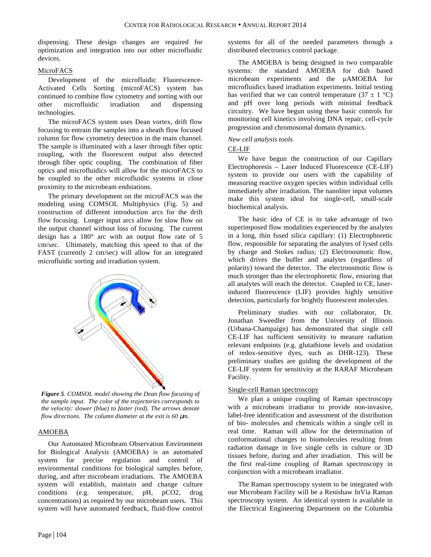dispensing. These design changes are required for optimization and integration into our other microfluidic devices.

# MicroFACS

Development of the microfluidic Fluorescence-Activated Cells Sorting (microFACS) system has continued to combine flow cytometry and sorting with our other microfluidic irradiation and dispensing technologies.

The microFACS system uses Dean vortex, drift flow focusing to entrain the samples into a sheath flow focused column for flow cytometry detection in the main channel. The sample is illuminated with a laser through fiber optic coupling, with the fluorescent output also detected through fiber optic coupling. The combination of fiber optics and microfluidics will allow for the microFACS to be coupled to the other microfluidic systems in close proximity to the microbeam endstations.

The primary development on the microFACS was the modeling using COMSOL Multiphysics (Fig. 5) and construction of different introduction arcs for the drift flow focusing. Longer input arcs allow for slow flow on the output channel without loss of focusing. The current design has a 180° arc with an output flow rate of 5 cm/sec. Ultimately, matching this speed to that of the FAST (currently 2 cm/sec) will allow for an integrated microfluidic sorting and irradiation system.



*Figure 5. COMSOL model showing the Dean flow focusing of the sample input. The color of the trajectories corresponds to the velocity: slower (blue) to faster (red). The arrows denote flow directions. The column diameter at the exit is 60*  $\mu$ *m.* 

# AMOEBA

Our Automated Microbeam Observation Environment for Biological Analysis (AMOEBA) is an automated system for precise regulation and control of environmental conditions for biological samples before, during, and after microbeam irradiations. The AMOEBA system will establish, maintain and change culture conditions (e.g. temperature, pH, pCO2, drug concentrations) as required by our microbeam users. This system will have automated feedback, fluid-flow control systems for all of the needed parameters through a distributed electronics control package.

The AMOEBA is being designed in two comparable systems: the standard AMOEBA for dish based microbeam experiments and the µAMOEBA for microfluidics based irradiation experiments. Initial testing has verified that we can control temperature  $(37 \pm 1 \degree C)$ and pH over long periods with minimal feedback circuitry. We have begun using these basic controls for monitoring cell kinetics involving DNA repair, cell-cycle progression and chromosomal domain dynamics.

## *New cell analysis tools*

## CE-LIF

We have begun the construction of our Capillary Electrophoresis – Laser Induced Fluorescence (CE-LIF) system to provide our users with the capability of measuring reactive oxygen species within individual cells immediately after irradiation. The nanoliter input volumes make this system ideal for single-cell, small-scale biochemical analysis.

The basic idea of CE is to take advantage of two superimposed flow modalities experienced by the analytes in a long, thin fused silica capillary: (1) Electrophoretic flow, responsible for separating the analytes of lysed cells by charge and Stokes radius; (2) Electroosmotic flow, which drives the buffer and analytes (regardless of polarity) toward the detector. The electroosmotic flow is much stronger than the electrophoretic flow, ensuring that all analytes will reach the detector. Coupled to CE, laserinduced fluorescence (LIF) provides highly sensitive detection, particularly for brightly fluorescent molecules.

Preliminary studies with our collaborator, Dr. Jonathan Sweedler from the University of Illinois (Urbana-Champaign) has demonstrated that single cell CE-LIF has sufficient sensitivity to measure radiation relevant endpoints (e.g. glutathione levels and oxidation of redox-sensitive dyes, such as DHR-123). These preliminary studies are guiding the development of the CE-LIF system for sensitivity at the RARAF Microbeam Facility.

#### Single-cell Raman spectroscopy

We plan a unique coupling of Raman spectroscopy with a microbeam irradiator to provide non-invasive, label-free identification and assessment of the distribution of bio- molecules and chemicals within a single cell in real time. Raman will allow for the determination of conformational changes to biomolecules resulting from radiation damage in live single cells in culture or 3D tissues before, during and after irradiation. This will be the first real-time coupling of Raman spectroscopy in conjunction with a microbeam irradiator.

The Raman spectroscopy system to be integrated with our Microbeam Facility will be a Renishaw InVia Raman spectroscopy system. An identical system is available in the Electrical Engineering Department on the Columbia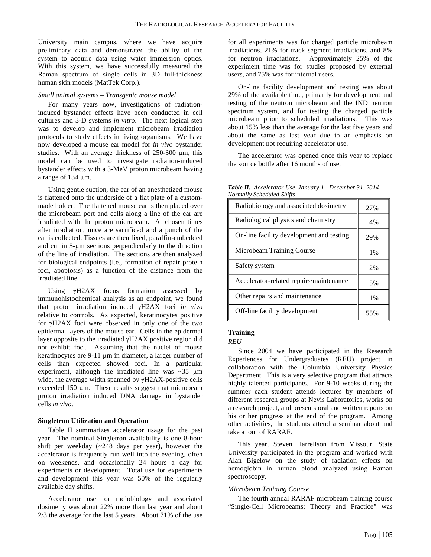University main campus, where we have acquire preliminary data and demonstrated the ability of the system to acquire data using water immersion optics. With this system, we have successfully measured the Raman spectrum of single cells in 3D full-thickness human skin models (MatTek Corp.).

#### *Small animal systems – Transgenic mouse model*

For many years now, investigations of radiationinduced bystander effects have been conducted in cell cultures and 3-D systems *in vitro*. The next logical step was to develop and implement microbeam irradiation protocols to study effects in living organisms. We have now developed a mouse ear model for *in vivo* bystander studies. With an average thickness of 250-300  $\mu$ m, this model can be used to investigate radiation-induced bystander effects with a 3-MeV proton microbeam having a range of 134 µm.

Using gentle suction, the ear of an anesthetized mouse is flattened onto the underside of a flat plate of a custommade holder. The flattened mouse ear is then placed over the microbeam port and cells along a line of the ear are irradiated with the proton microbeam. At chosen times after irradiation, mice are sacrificed and a punch of the ear is collected. Tissues are then fixed, paraffin-embedded and cut in 5-µm sections perpendicularly to the direction of the line of irradiation. The sections are then analyzed for biological endpoints (i.e., formation of repair protein foci, apoptosis) as a function of the distance from the irradiated line.

Using γH2AX focus formation assessed by immunohistochemical analysis as an endpoint, we found that proton irradiation induced γH2AX foci *in vivo* relative to controls. As expected, keratinocytes positive for γH2AX foci were observed in only one of the two epidermal layers of the mouse ear. Cells in the epidermal layer opposite to the irradiated γH2AX positive region did not exhibit foci. Assuming that the nuclei of mouse keratinocytes are 9-11 µm in diameter, a larger number of cells than expected showed foci. In a particular experiment, although the irradiated line was  $\sim$ 35  $\mu$ m wide, the average width spanned by γH2AX-positive cells exceeded 150 µm. These results suggest that microbeam proton irradiation induced DNA damage in bystander cells *in vivo*.

#### **Singletron Utilization and Operation**

Table II summarizes accelerator usage for the past year. The nominal Singletron availability is one 8-hour shift per weekday  $(\sim 248$  days per year), however the accelerator is frequently run well into the evening, often on weekends, and occasionally 24 hours a day for experiments or development. Total use for experiments and development this year was 50% of the regularly available day shifts.

Accelerator use for radiobiology and associated dosimetry was about 22% more than last year and about 2/3 the average for the last 5 years. About 71% of the use

for all experiments was for charged particle microbeam irradiations, 21% for track segment irradiations, and 8% for neutron irradiations. Approximately 25% of the experiment time was for studies proposed by external users, and 75% was for internal users.

On-line facility development and testing was about 29% of the available time, primarily for development and testing of the neutron microbeam and the IND neutron spectrum system, and for testing the charged particle microbeam prior to scheduled irradiations. This was about 15% less than the average for the last five years and about the same as last year due to an emphasis on development not requiring accelerator use.

The accelerator was opened once this year to replace the source bottle after 16 months of use.

*Table II. Accelerator Use, January 1 - December 31, 2014 Normally Scheduled Shifts*

| Radiobiology and associated dosimetry    | 27%   |
|------------------------------------------|-------|
| Radiological physics and chemistry       | 4%    |
| On-line facility development and testing | 29%   |
| Microbeam Training Course                | $1\%$ |
| Safety system                            | 2%    |
| Accelerator-related repairs/maintenance  | 5%    |
| Other repairs and maintenance            | $1\%$ |
| Off-line facility development            | 55%   |

# **Training**

# *REU*

Since 2004 we have participated in the Research Experiences for Undergraduates (REU) project in collaboration with the Columbia University Physics Department. This is a very selective program that attracts highly talented participants. For 9-10 weeks during the summer each student attends lectures by members of different research groups at Nevis Laboratories, works on a research project, and presents oral and written reports on his or her progress at the end of the program. Among other activities, the students attend a seminar about and take a tour of RARAF.

This year, Steven Harrellson from Missouri State University participated in the program and worked with Alan Bigelow on the study of radiation effects on hemoglobin in human blood analyzed using Raman spectroscopy.

#### *Microbeam Training Course*

The fourth annual RARAF microbeam training course "Single-Cell Microbeams: Theory and Practice" was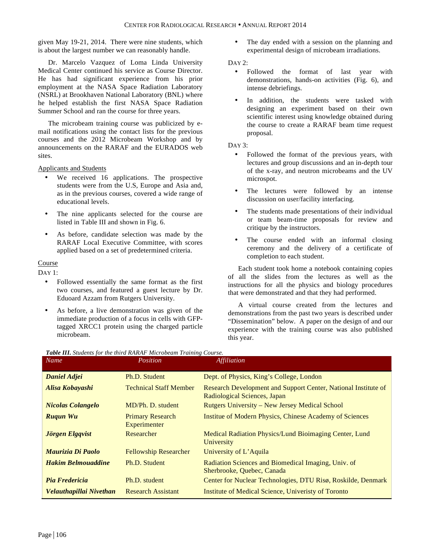given May 19-21, 2014. There were nine students, which is about the largest number we can reasonably handle.

Dr. Marcelo Vazquez of Loma Linda University Medical Center continued his service as Course Director. He has had significant experience from his prior employment at the NASA Space Radiation Laboratory (NSRL) at Brookhaven National Laboratory (BNL) where he helped establish the first NASA Space Radiation Summer School and ran the course for three years.

The microbeam training course was publicized by email notifications using the contact lists for the previous courses and the 2012 Microbeam Workshop and by announcements on the RARAF and the EURADOS web sites.

Applicants and Students

- We received 16 applications. The prospective students were from the U.S, Europe and Asia and, as in the previous courses, covered a wide range of educational levels.
- The nine applicants selected for the course are listed in Table III and shown in Fig. 6.
- As before, candidate selection was made by the RARAF Local Executive Committee, with scores applied based on a set of predetermined criteria.

Course

DAY 1:

- Followed essentially the same format as the first two courses, and featured a guest lecture by Dr. Eduoard Azzam from Rutgers University.
- As before, a live demonstration was given of the immediate production of a focus in cells with GFPtagged XRCC1 protein using the charged particle microbeam.

The day ended with a session on the planning and experimental design of microbeam irradiations.

DAY 2:

- Followed the format of last year with demonstrations, hands-on activities (Fig. 6), and intense debriefings.
- In addition, the students were tasked with designing an experiment based on their own scientific interest using knowledge obtained during the course to create a RARAF beam time request proposal.

DAY 3:

- Followed the format of the previous years, with lectures and group discussions and an in-depth tour of the x-ray, and neutron microbeams and the UV microspot.
- The lectures were followed by an intense discussion on user/facility interfacing.
- The students made presentations of their individual or team beam-time proposals for review and critique by the instructors.
- The course ended with an informal closing ceremony and the delivery of a certificate of completion to each student.

Each student took home a notebook containing copies of all the slides from the lectures as well as the instructions for all the physics and biology procedures that were demonstrated and that they had performed.

A virtual course created from the lectures and demonstrations from the past two years is described under "Dissemination" below. A paper on the design of and our experience with the training course was also published this year.

| Name                      | Position                                | <i>Affiliation</i>                                                                             |
|---------------------------|-----------------------------------------|------------------------------------------------------------------------------------------------|
| <b>Daniel Adjei</b>       | Ph.D. Student                           | Dept. of Physics, King's College, London                                                       |
| Alisa Kobayashi           | <b>Technical Staff Member</b>           | Research Development and Support Center, National Institute of<br>Radiological Sciences, Japan |
| <b>Nicolas Colangelo</b>  | MD/Ph. D. student                       | <b>Rutgers University – New Jersey Medical School</b>                                          |
| <b>Rugun Wu</b>           | <b>Primary Research</b><br>Experimenter | <b>Institue of Modern Physics, Chinese Academy of Sciences</b>                                 |
| Jörgen Elgqvist           | Researcher                              | Medical Radiation Physics/Lund Bioimaging Center, Lund<br>University                           |
| Maurizia Di Paolo         | <b>Fellowship Researcher</b>            | University of L'Aquila                                                                         |
| <b>Hakim Belmouaddine</b> | Ph.D. Student                           | Radiation Sciences and Biomedical Imaging, Univ. of<br>Sherbrooke, Quebec, Canada              |
| Pia Fredericia            | Ph.D. student                           | Center for Nuclear Technologies, DTU Risø, Roskilde, Denmark                                   |
| Velauthapillai Nivethan   | <b>Research Assistant</b>               | Institute of Medical Science, Univeristy of Toronto                                            |

| Table III. Students for the third RARAF Microbeam Training Course. |  |  |  |  |
|--------------------------------------------------------------------|--|--|--|--|
|--------------------------------------------------------------------|--|--|--|--|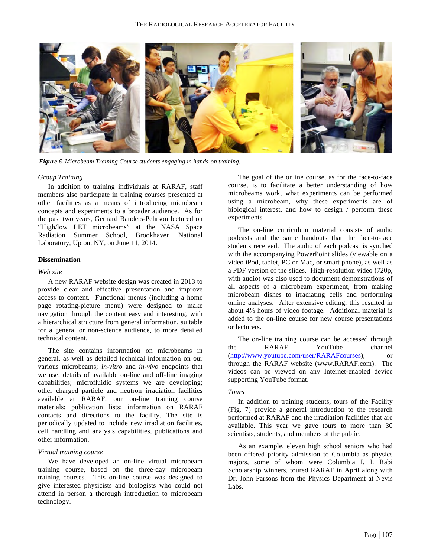

*Figure 6. Microbeam Training Course students engaging in hands-on training.*

#### *Group Training*

In addition to training individuals at RARAF, staff members also participate in training courses presented at other facilities as a means of introducing microbeam concepts and experiments to a broader audience. As for the past two years, Gerhard Randers-Pehrson lectured on "High/low LET microbeams" at the NASA Space Radiation Summer School, Brookhaven National Laboratory, Upton, NY, on June 11, 2014.

#### **Dissemination**

#### *Web site*

A new RARAF website design was created in 2013 to provide clear and effective presentation and improve access to content. Functional menus (including a home page rotating-picture menu) were designed to make navigation through the content easy and interesting, with a hierarchical structure from general information, suitable for a general or non-science audience, to more detailed technical content.

The site contains information on microbeams in general, as well as detailed technical information on our various microbeams; *in-vitro* and *in-vivo* endpoints that we use; details of available on-line and off-line imaging capabilities; microfluidic systems we are developing; other charged particle and neutron irradiation facilities available at RARAF; our on-line training course materials; publication lists; information on RARAF contacts and directions to the facility. The site is periodically updated to include new irradiation facilities, cell handling and analysis capabilities, publications and other information.

#### *Virtual training course*

We have developed an on-line virtual microbeam training course, based on the three-day microbeam training courses. This on-line course was designed to give interested physicists and biologists who could not attend in person a thorough introduction to microbeam technology.

The goal of the online course, as for the face-to-face course, is to facilitate a better understanding of how microbeams work, what experiments can be performed using a microbeam, why these experiments are of biological interest, and how to design / perform these experiments.

The on-line curriculum material consists of audio podcasts and the same handouts that the face-to-face students received. The audio of each podcast is synched with the accompanying PowerPoint slides (viewable on a video iPod, tablet, PC or Mac, or smart phone), as well as a PDF version of the slides. High-resolution video (720p, with audio) was also used to document demonstrations of all aspects of a microbeam experiment, from making microbeam dishes to irradiating cells and performing online analyses. After extensive editing, this resulted in about 4½ hours of video footage. Additional material is added to the on-line course for new course presentations or lecturers.

The on-line training course can be accessed through the RARAF YouTube channel (http://www.youtube.com/user/RARAFcourses), or through the RARAF website (www.RARAF.com). The videos can be viewed on any Internet-enabled device supporting YouTube format.

#### *Tours*

In addition to training students, tours of the Facility (Fig. 7) provide a general introduction to the research performed at RARAF and the irradiation facilities that are available. This year we gave tours to more than 30 scientists, students, and members of the public.

As an example, eleven high school seniors who had been offered priority admission to Columbia as physics majors, some of whom were Columbia I. I. Rabi Scholarship winners, toured RARAF in April along with Dr. John Parsons from the Physics Department at Nevis Labs.